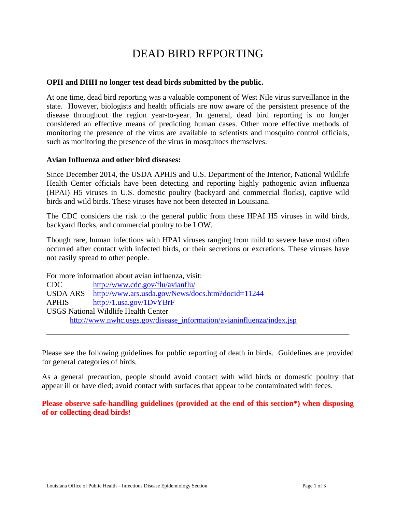# DEAD BIRD REPORTING

### **OPH and DHH no longer test dead birds submitted by the public.**

At one time, dead bird reporting was a valuable component of West Nile virus surveillance in the state. However, biologists and health officials are now aware of the persistent presence of the disease throughout the region year-to-year. In general, dead bird reporting is no longer considered an effective means of predicting human cases. Other more effective methods of monitoring the presence of the virus are available to scientists and mosquito control officials, such as monitoring the presence of the virus in mosquitoes themselves.

#### **Avian Influenza and other bird diseases:**

 $\overline{a}$ 

Since December 2014, the USDA APHIS and U.S. Department of the Interior, National Wildlife Health Center officials have been detecting and reporting highly pathogenic avian influenza (HPAI) H5 viruses in U.S. domestic poultry (backyard and commercial flocks), captive wild birds and wild birds. These viruses have not been detected in Louisiana.

The CDC considers the risk to the general public from these HPAI H5 viruses in wild birds, backyard flocks, and commercial poultry to be LOW.

Though rare, human infections with HPAI viruses ranging from mild to severe have most often occurred after contact with infected birds, or their secretions or excretions. These viruses have not easily spread to other people.

| For more information about avian influenza, visit:                    |                                                   |
|-----------------------------------------------------------------------|---------------------------------------------------|
| CDC                                                                   | http://www.cdc.gov/flu/avianflu/                  |
| <b>USDA ARS</b>                                                       | http://www.ars.usda.gov/News/docs.htm?docid=11244 |
| <b>APHIS</b>                                                          | http://1.usa.gov/1DvYBrF                          |
| <b>USGS National Wildlife Health Center</b>                           |                                                   |
| http://www.nwhc.usgs.gov/disease_information/avianinfluenza/index.jsp |                                                   |

Please see the following guidelines for public reporting of death in birds. Guidelines are provided for general categories of birds.

As a general precaution, people should avoid contact with wild birds or domestic poultry that appear ill or have died; avoid contact with surfaces that appear to be contaminated with feces.

**Please observe safe-handling guidelines (provided at the end of this section\*) when disposing of or collecting dead birds!**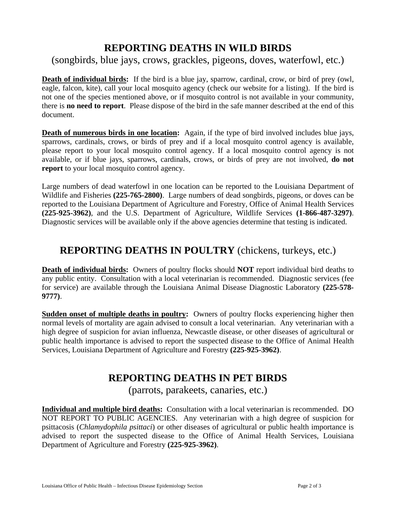## **REPORTING DEATHS IN WILD BIRDS**

(songbirds, blue jays, crows, grackles, pigeons, doves, waterfowl, etc.)

**Death of individual birds:** If the bird is a blue jay, sparrow, cardinal, crow, or bird of prey (owl, eagle, falcon, kite), call your local mosquito agency (check our website for a listing). If the bird is not one of the species mentioned above, or if mosquito control is not available in your community, there is **no need to report**. Please dispose of the bird in the safe manner described at the end of this document.

**Death of numerous birds in one location:** Again, if the type of bird involved includes blue jays, sparrows, cardinals, crows, or birds of prey and if a local mosquito control agency is available, please report to your local mosquito control agency. If a local mosquito control agency is not available, or if blue jays, sparrows, cardinals, crows, or birds of prey are not involved, **do not report** to your local mosquito control agency.

Large numbers of dead waterfowl in one location can be reported to the Louisiana Department of Wildlife and Fisheries **(225-765-2800)**. Large numbers of dead songbirds, pigeons, or doves can be reported to the Louisiana Department of Agriculture and Forestry, Office of Animal Health Services **(225-925-3962)**, and the U.S. Department of Agriculture, Wildlife Services **(1-866-487-3297)**. Diagnostic services will be available only if the above agencies determine that testing is indicated.

### **REPORTING DEATHS IN POULTRY** (chickens, turkeys, etc.)

**Death of individual birds:** Owners of poultry flocks should **NOT** report individual bird deaths to any public entity. Consultation with a local veterinarian is recommended. Diagnostic services (fee for service) are available through the Louisiana Animal Disease Diagnostic Laboratory **(225-578- 9777)**.

**Sudden onset of multiple deaths in poultry:** Owners of poultry flocks experiencing higher then normal levels of mortality are again advised to consult a local veterinarian. Any veterinarian with a high degree of suspicion for avian influenza, Newcastle disease, or other diseases of agricultural or public health importance is advised to report the suspected disease to the Office of Animal Health Services, Louisiana Department of Agriculture and Forestry **(225-925-3962)**.

## **REPORTING DEATHS IN PET BIRDS**

(parrots, parakeets, canaries, etc.)

**Individual and multiple bird deaths:** Consultation with a local veterinarian is recommended. DO NOT REPORT TO PUBLIC AGENCIES. Any veterinarian with a high degree of suspicion for psittacosis (*Chlamydophila psittaci*) or other diseases of agricultural or public health importance is advised to report the suspected disease to the Office of Animal Health Services, Louisiana Department of Agriculture and Forestry **(225-925-3962)**.